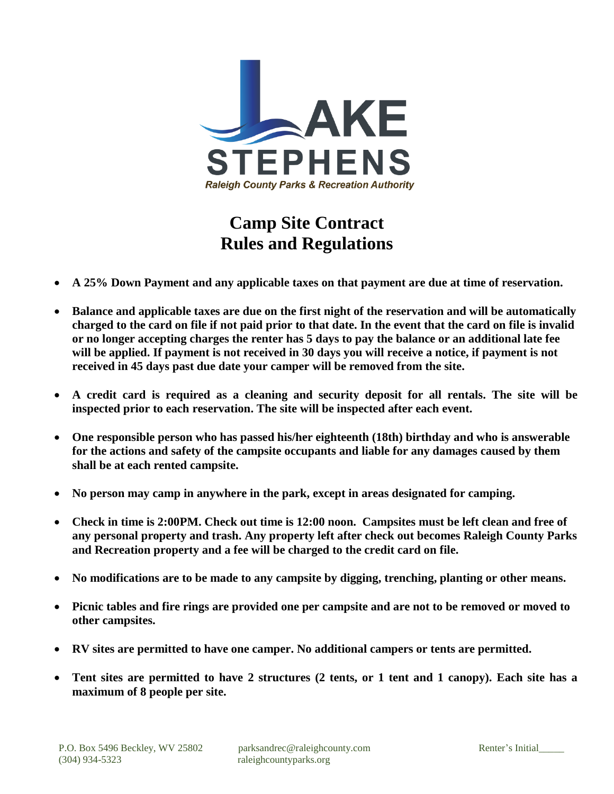

## **Camp Site Contract Rules and Regulations**

- **A 25% Down Payment and any applicable taxes on that payment are due at time of reservation.**
- **Balance and applicable taxes are due on the first night of the reservation and will be automatically charged to the card on file if not paid prior to that date. In the event that the card on file is invalid or no longer accepting charges the renter has 5 days to pay the balance or an additional late fee will be applied. If payment is not received in 30 days you will receive a notice, if payment is not received in 45 days past due date your camper will be removed from the site.**
- **A credit card is required as a cleaning and security deposit for all rentals. The site will be inspected prior to each reservation. The site will be inspected after each event.**
- **One responsible person who has passed his/her eighteenth (18th) birthday and who is answerable for the actions and safety of the campsite occupants and liable for any damages caused by them shall be at each rented campsite.**
- **No person may camp in anywhere in the park, except in areas designated for camping.**
- **Check in time is 2:00PM. Check out time is 12:00 noon. Campsites must be left clean and free of any personal property and trash. Any property left after check out becomes Raleigh County Parks and Recreation property and a fee will be charged to the credit card on file.**
- **No modifications are to be made to any campsite by digging, trenching, planting or other means.**
- **Picnic tables and fire rings are provided one per campsite and are not to be removed or moved to other campsites.**
- **RV sites are permitted to have one camper. No additional campers or tents are permitted.**
- **Tent sites are permitted to have 2 structures (2 tents, or 1 tent and 1 canopy). Each site has a maximum of 8 people per site.**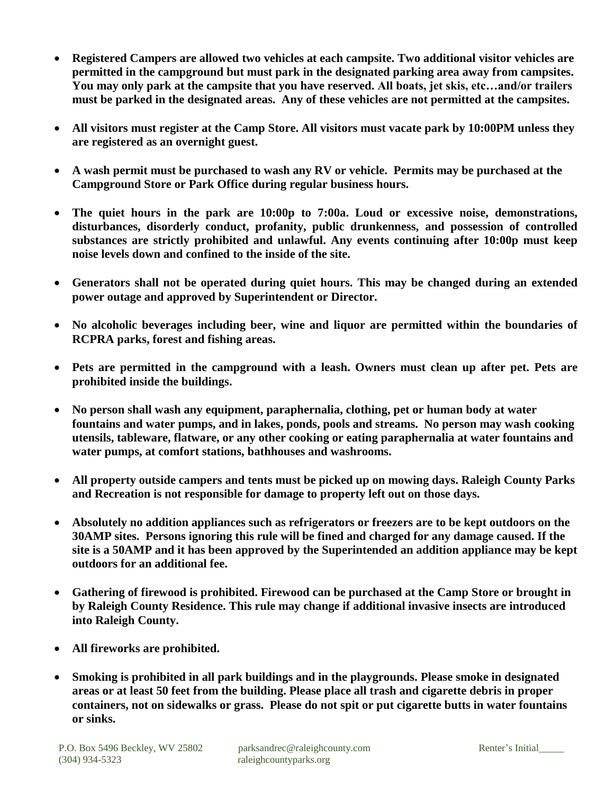- **Registered Campers are allowed two vehicles at each campsite. Two additional visitor vehicles are permitted in the campground but must park in the designated parking area away from campsites. You may only park at the campsite that you have reserved. All boats, jet skis, etc…and/or trailers must be parked in the designated areas. Any of these vehicles are not permitted at the campsites.**
- **All visitors must register at the Camp Store. All visitors must vacate park by 10:00PM unless they are registered as an overnight guest.**
- **A wash permit must be purchased to wash any RV or vehicle. Permits may be purchased at the Campground Store or Park Office during regular business hours.**
- **The quiet hours in the park are 10:00p to 7:00a. Loud or excessive noise, demonstrations, disturbances, disorderly conduct, profanity, public drunkenness, and possession of controlled substances are strictly prohibited and unlawful. Any events continuing after 10:00p must keep noise levels down and confined to the inside of the site.**
- **Generators shall not be operated during quiet hours. This may be changed during an extended power outage and approved by Superintendent or Director.**
- **No alcoholic beverages including beer, wine and liquor are permitted within the boundaries of RCPRA parks, forest and fishing areas.**
- **Pets are permitted in the campground with a leash. Owners must clean up after pet. Pets are prohibited inside the buildings.**
- **No person shall wash any equipment, paraphernalia, clothing, pet or human body at water fountains and water pumps, and in lakes, ponds, pools and streams. No person may wash cooking utensils, tableware, flatware, or any other cooking or eating paraphernalia at water fountains and water pumps, at comfort stations, bathhouses and washrooms.**
- **All property outside campers and tents must be picked up on mowing days. Raleigh County Parks and Recreation is not responsible for damage to property left out on those days.**
- **Absolutely no addition appliances such as refrigerators or freezers are to be kept outdoors on the 30AMP sites. Persons ignoring this rule will be fined and charged for any damage caused. If the site is a 50AMP and it has been approved by the Superintended an addition appliance may be kept outdoors for an additional fee.**
- **Gathering of firewood is prohibited. Firewood can be purchased at the Camp Store or brought in by Raleigh County Residence. This rule may change if additional invasive insects are introduced into Raleigh County.**
- **All fireworks are prohibited.**
- **Smoking is prohibited in all park buildings and in the playgrounds. Please smoke in designated areas or at least 50 feet from the building. Please place all trash and cigarette debris in proper containers, not on sidewalks or grass. Please do not spit or put cigarette butts in water fountains or sinks.**